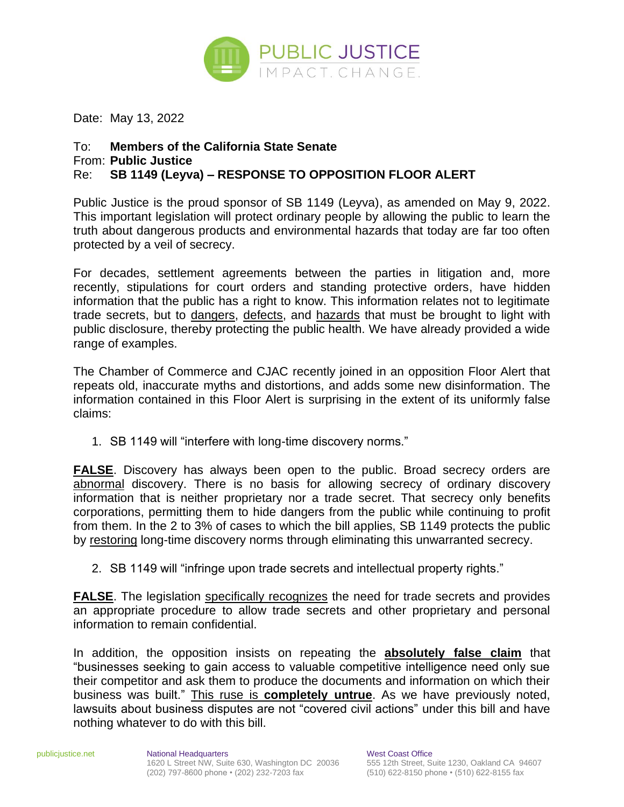

Date: May 13, 2022

## To: **Members of the California State Senate** From: **Public Justice**

## Re: **SB 1149 (Leyva) – RESPONSE TO OPPOSITION FLOOR ALERT**

Public Justice is the proud sponsor of SB 1149 (Leyva), as amended on May 9, 2022. This important legislation will protect ordinary people by allowing the public to learn the truth about dangerous products and environmental hazards that today are far too often protected by a veil of secrecy.

For decades, settlement agreements between the parties in litigation and, more recently, stipulations for court orders and standing protective orders, have hidden information that the public has a right to know. This information relates not to legitimate trade secrets, but to dangers, defects, and hazards that must be brought to light with public disclosure, thereby protecting the public health. We have already provided a wide range of examples.

The Chamber of Commerce and CJAC recently joined in an opposition Floor Alert that repeats old, inaccurate myths and distortions, and adds some new disinformation. The information contained in this Floor Alert is surprising in the extent of its uniformly false claims:

1. SB 1149 will "interfere with long-time discovery norms."

**FALSE**. Discovery has always been open to the public. Broad secrecy orders are abnormal discovery. There is no basis for allowing secrecy of ordinary discovery information that is neither proprietary nor a trade secret. That secrecy only benefits corporations, permitting them to hide dangers from the public while continuing to profit from them. In the 2 to 3% of cases to which the bill applies, SB 1149 protects the public by restoring long-time discovery norms through eliminating this unwarranted secrecy.

2. SB 1149 will "infringe upon trade secrets and intellectual property rights."

**FALSE**. The legislation specifically recognizes the need for trade secrets and provides an appropriate procedure to allow trade secrets and other proprietary and personal information to remain confidential.

In addition, the opposition insists on repeating the **absolutely false claim** that "businesses seeking to gain access to valuable competitive intelligence need only sue their competitor and ask them to produce the documents and information on which their business was built." This ruse is **completely untrue**. As we have previously noted, lawsuits about business disputes are not "covered civil actions" under this bill and have nothing whatever to do with this bill.